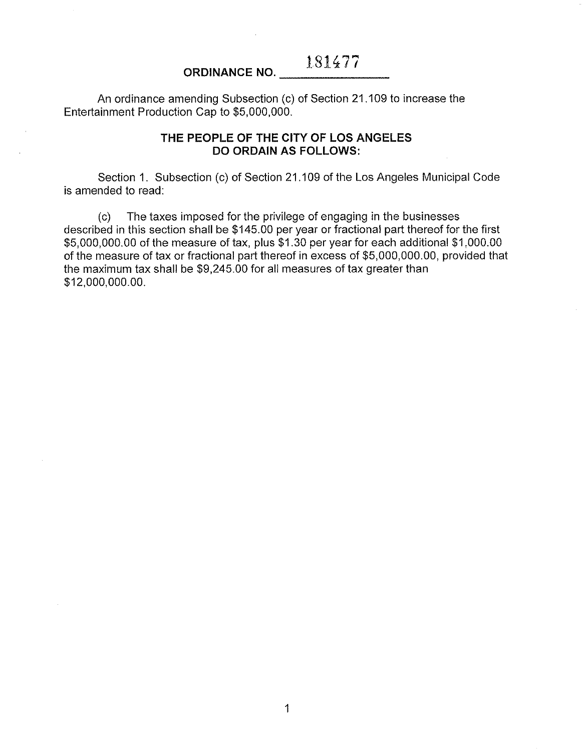An ordinance amending Subsection (c) of Section 21.109 to increase the Entertainment Production Cap to \$5,000,000.

## **THE PEOPLE OF THE CITY OF LOS ANGELES DO ORDAIN AS FOLLOWS:**

Section 1. Subsection (c) of Section 21.109 of the Los Angeles Municipal Code is amended to read:

(c) The taxes imposed for the privilege of engaging in the businesses described in this section shall be \$145.00 per year or fractional part thereof for the first \$5,000,000.00 of the measure of tax, plus \$1.30 per year for each additional \$1,000.00 of the measure of tax or fractional part thereof in excess of \$5,000,000.00, provided that the maximum tax shall be \$9,245.00 for all measures of tax greater than \$12,000,000.00.